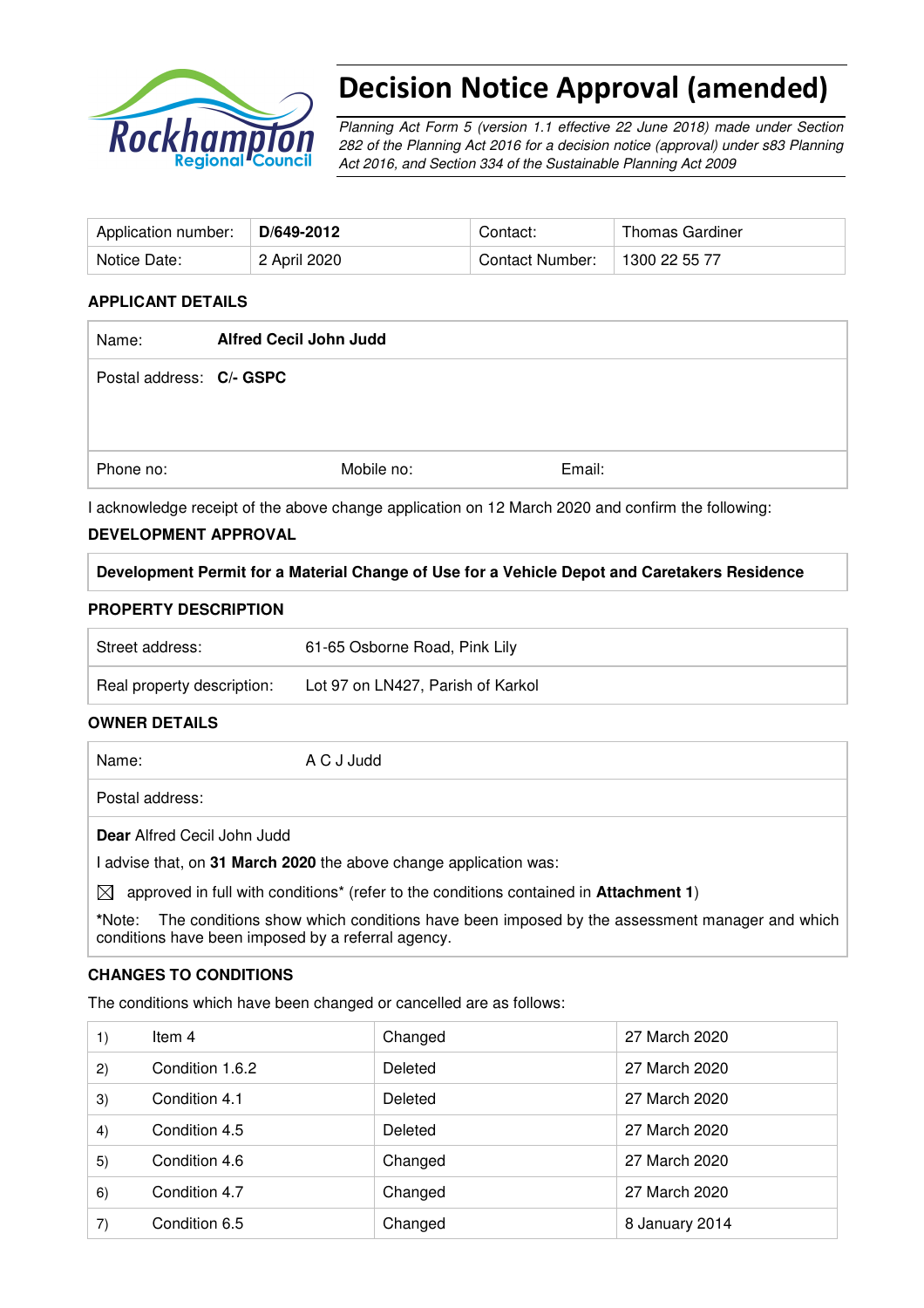

# Decision Notice Approval (amended)

Planning Act Form 5 (version 1.1 effective 22 June 2018) made under Section 282 of the Planning Act 2016 for a decision notice (approval) under s83 Planning Act 2016, and Section 334 of the Sustainable Planning Act 2009

| Application number: | D/649-2012   | Contact:        | Thomas Gardiner |
|---------------------|--------------|-----------------|-----------------|
| Notice Date:        | 2 April 2020 | Contact Number: | 1300 22 55 77   |

## **APPLICANT DETAILS**

| <b>Alfred Cecil John Judd</b> |                          |  |
|-------------------------------|--------------------------|--|
|                               |                          |  |
|                               |                          |  |
|                               |                          |  |
| Mobile no:                    | Email:                   |  |
|                               | Postal address: C/- GSPC |  |

I acknowledge receipt of the above change application on 12 March 2020 and confirm the following:

## **DEVELOPMENT APPROVAL**

**Development Permit for a Material Change of Use for a Vehicle Depot and Caretakers Residence** 

## **PROPERTY DESCRIPTION**

| Real property description: | Lot 97 on LN427, Parish of Karkol |
|----------------------------|-----------------------------------|
| Street address:            | 61-65 Osborne Road, Pink Lily     |

### **OWNER DETAILS**

Name: A C J Judd

Postal address:

**Dear** Alfred Cecil John Judd

I advise that, on **31 March 2020** the above change application was:

 $\boxtimes$  approved in full with conditions<sup>\*</sup> (refer to the conditions contained in **Attachment 1**)

**\***Note:The conditions show which conditions have been imposed by the assessment manager and which conditions have been imposed by a referral agency.

### **CHANGES TO CONDITIONS**

The conditions which have been changed or cancelled are as follows:

| 1) | Item 4          | Changed | 27 March 2020  |
|----|-----------------|---------|----------------|
| 2) | Condition 1.6.2 | Deleted | 27 March 2020  |
| 3) | Condition 4.1   | Deleted | 27 March 2020  |
| 4) | Condition 4.5   | Deleted | 27 March 2020  |
| 5) | Condition 4.6   | Changed | 27 March 2020  |
| 6) | Condition 4.7   | Changed | 27 March 2020  |
| 7) | Condition 6.5   | Changed | 8 January 2014 |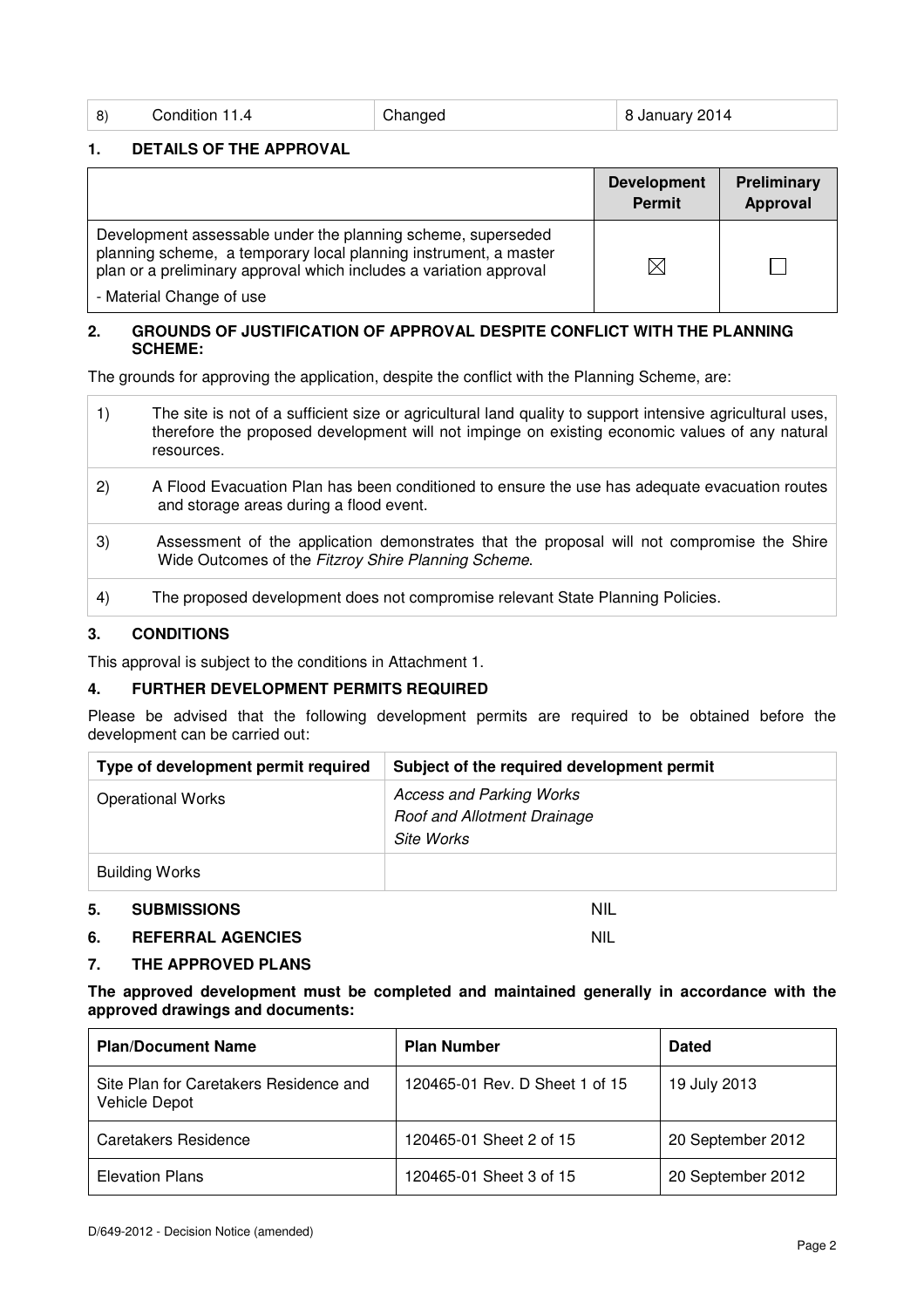| -8) | Condition 11.4 | Changed | $^{\circ}$ 8 January 2014 |
|-----|----------------|---------|---------------------------|
|-----|----------------|---------|---------------------------|

### **1. DETAILS OF THE APPROVAL**

|                                                                                                                                                                                                        | <b>Development</b><br>Permit | Preliminary<br>Approval |
|--------------------------------------------------------------------------------------------------------------------------------------------------------------------------------------------------------|------------------------------|-------------------------|
| Development assessable under the planning scheme, superseded<br>planning scheme, a temporary local planning instrument, a master<br>plan or a preliminary approval which includes a variation approval | IX                           |                         |
| - Material Change of use                                                                                                                                                                               |                              |                         |

#### **2. GROUNDS OF JUSTIFICATION OF APPROVAL DESPITE CONFLICT WITH THE PLANNING SCHEME:**

The grounds for approving the application, despite the conflict with the Planning Scheme, are:

| The site is not of a sufficient size or agricultural land quality to support intensive agricultural uses,<br>therefore the proposed development will not impinge on existing economic values of any natural<br>resources. |
|---------------------------------------------------------------------------------------------------------------------------------------------------------------------------------------------------------------------------|
|                                                                                                                                                                                                                           |

- 2) A Flood Evacuation Plan has been conditioned to ensure the use has adequate evacuation routes and storage areas during a flood event.
- 3) Assessment of the application demonstrates that the proposal will not compromise the Shire Wide Outcomes of the Fitzroy Shire Planning Scheme.
- 4) The proposed development does not compromise relevant State Planning Policies.

#### **3. CONDITIONS**

This approval is subject to the conditions in Attachment 1.

### **4. FURTHER DEVELOPMENT PERMITS REQUIRED**

Please be advised that the following development permits are required to be obtained before the development can be carried out:

| Type of development permit required | Subject of the required development permit                                          |
|-------------------------------------|-------------------------------------------------------------------------------------|
| <b>Operational Works</b>            | <b>Access and Parking Works</b><br><b>Roof and Allotment Drainage</b><br>Site Works |
| Building Works                      |                                                                                     |

#### **5. SUBMISSIONS** NIL

## **6. REFERRAL AGENCIES** NIL

## **7. THE APPROVED PLANS**

**The approved development must be completed and maintained generally in accordance with the approved drawings and documents:** 

| <b>Plan/Document Name</b>                               | <b>Plan Number</b>             | <b>Dated</b>      |
|---------------------------------------------------------|--------------------------------|-------------------|
| Site Plan for Caretakers Residence and<br>Vehicle Depot | 120465-01 Rev. D Sheet 1 of 15 | 19 July 2013      |
| <b>Caretakers Residence</b>                             | 120465-01 Sheet 2 of 15        | 20 September 2012 |
| <b>Elevation Plans</b>                                  | 120465-01 Sheet 3 of 15        | 20 September 2012 |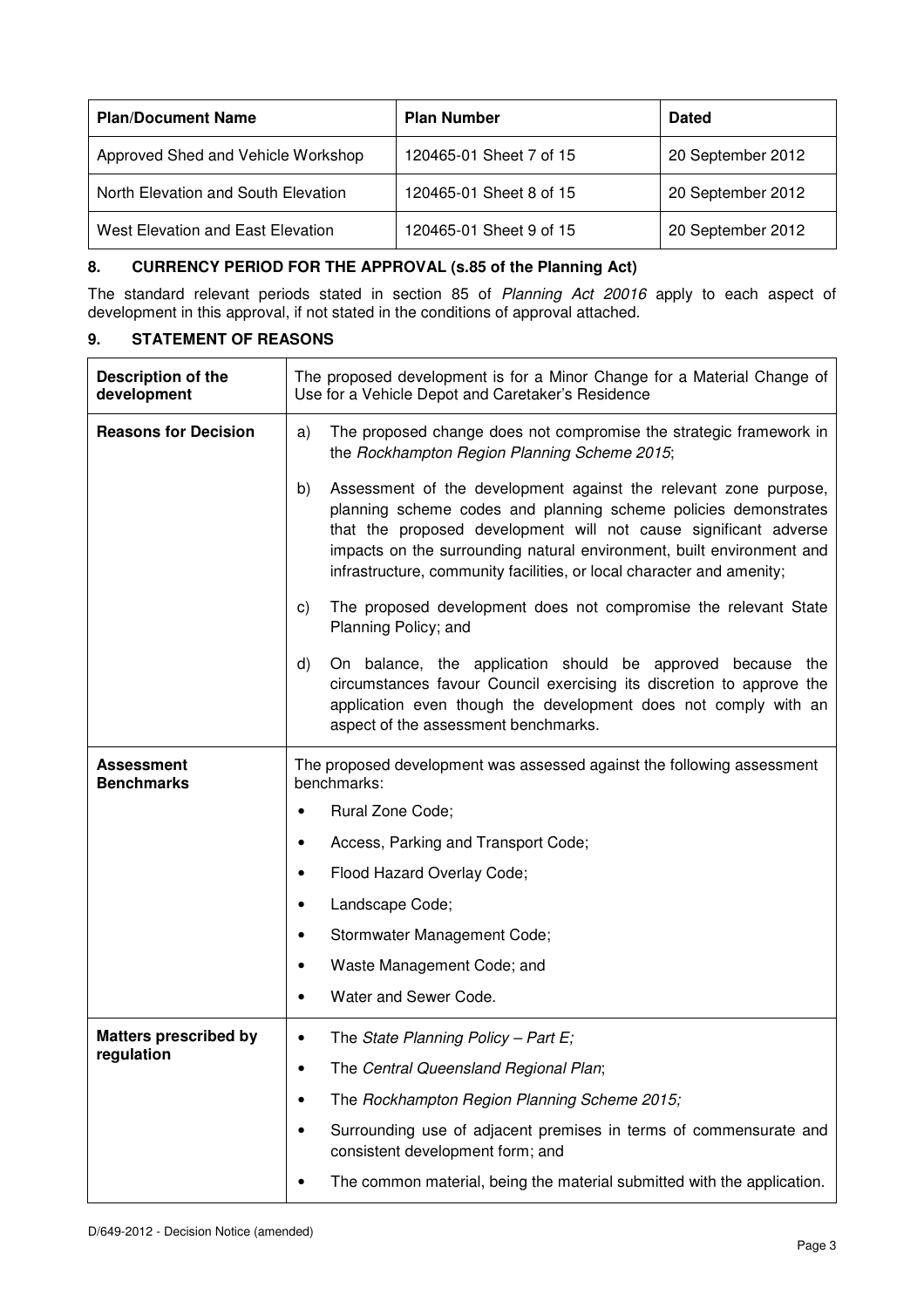| <b>Plan/Document Name</b>           | <b>Plan Number</b>      | <b>Dated</b>      |
|-------------------------------------|-------------------------|-------------------|
| Approved Shed and Vehicle Workshop  | 120465-01 Sheet 7 of 15 | 20 September 2012 |
| North Elevation and South Elevation | 120465-01 Sheet 8 of 15 | 20 September 2012 |
| West Elevation and East Elevation   | 120465-01 Sheet 9 of 15 | 20 September 2012 |

## **8. CURRENCY PERIOD FOR THE APPROVAL (s.85 of the Planning Act)**

The standard relevant periods stated in section 85 of Planning Act 20016 apply to each aspect of development in this approval, if not stated in the conditions of approval attached.

## **9. STATEMENT OF REASONS**

| Description of the<br>development      | The proposed development is for a Minor Change for a Material Change of<br>Use for a Vehicle Depot and Caretaker's Residence                                                                                                                                                                                                                                    |  |
|----------------------------------------|-----------------------------------------------------------------------------------------------------------------------------------------------------------------------------------------------------------------------------------------------------------------------------------------------------------------------------------------------------------------|--|
| <b>Reasons for Decision</b>            | The proposed change does not compromise the strategic framework in<br>a)<br>the Rockhampton Region Planning Scheme 2015;                                                                                                                                                                                                                                        |  |
|                                        | Assessment of the development against the relevant zone purpose,<br>b)<br>planning scheme codes and planning scheme policies demonstrates<br>that the proposed development will not cause significant adverse<br>impacts on the surrounding natural environment, built environment and<br>infrastructure, community facilities, or local character and amenity; |  |
|                                        | The proposed development does not compromise the relevant State<br>C)<br>Planning Policy; and                                                                                                                                                                                                                                                                   |  |
|                                        | On balance, the application should be approved because the<br>d)<br>circumstances favour Council exercising its discretion to approve the<br>application even though the development does not comply with an<br>aspect of the assessment benchmarks.                                                                                                            |  |
| <b>Assessment</b><br><b>Benchmarks</b> | The proposed development was assessed against the following assessment<br>benchmarks:                                                                                                                                                                                                                                                                           |  |
|                                        | Rural Zone Code;                                                                                                                                                                                                                                                                                                                                                |  |
|                                        | Access, Parking and Transport Code;                                                                                                                                                                                                                                                                                                                             |  |
|                                        | Flood Hazard Overlay Code;                                                                                                                                                                                                                                                                                                                                      |  |
|                                        | Landscape Code;                                                                                                                                                                                                                                                                                                                                                 |  |
|                                        | Stormwater Management Code;                                                                                                                                                                                                                                                                                                                                     |  |
|                                        | Waste Management Code; and                                                                                                                                                                                                                                                                                                                                      |  |
|                                        | Water and Sewer Code.                                                                                                                                                                                                                                                                                                                                           |  |
| <b>Matters prescribed by</b>           | The State Planning Policy - Part E;                                                                                                                                                                                                                                                                                                                             |  |
| regulation                             | The Central Queensland Regional Plan;                                                                                                                                                                                                                                                                                                                           |  |
|                                        | The Rockhampton Region Planning Scheme 2015;                                                                                                                                                                                                                                                                                                                    |  |
|                                        | Surrounding use of adjacent premises in terms of commensurate and<br>consistent development form; and                                                                                                                                                                                                                                                           |  |
|                                        | The common material, being the material submitted with the application.                                                                                                                                                                                                                                                                                         |  |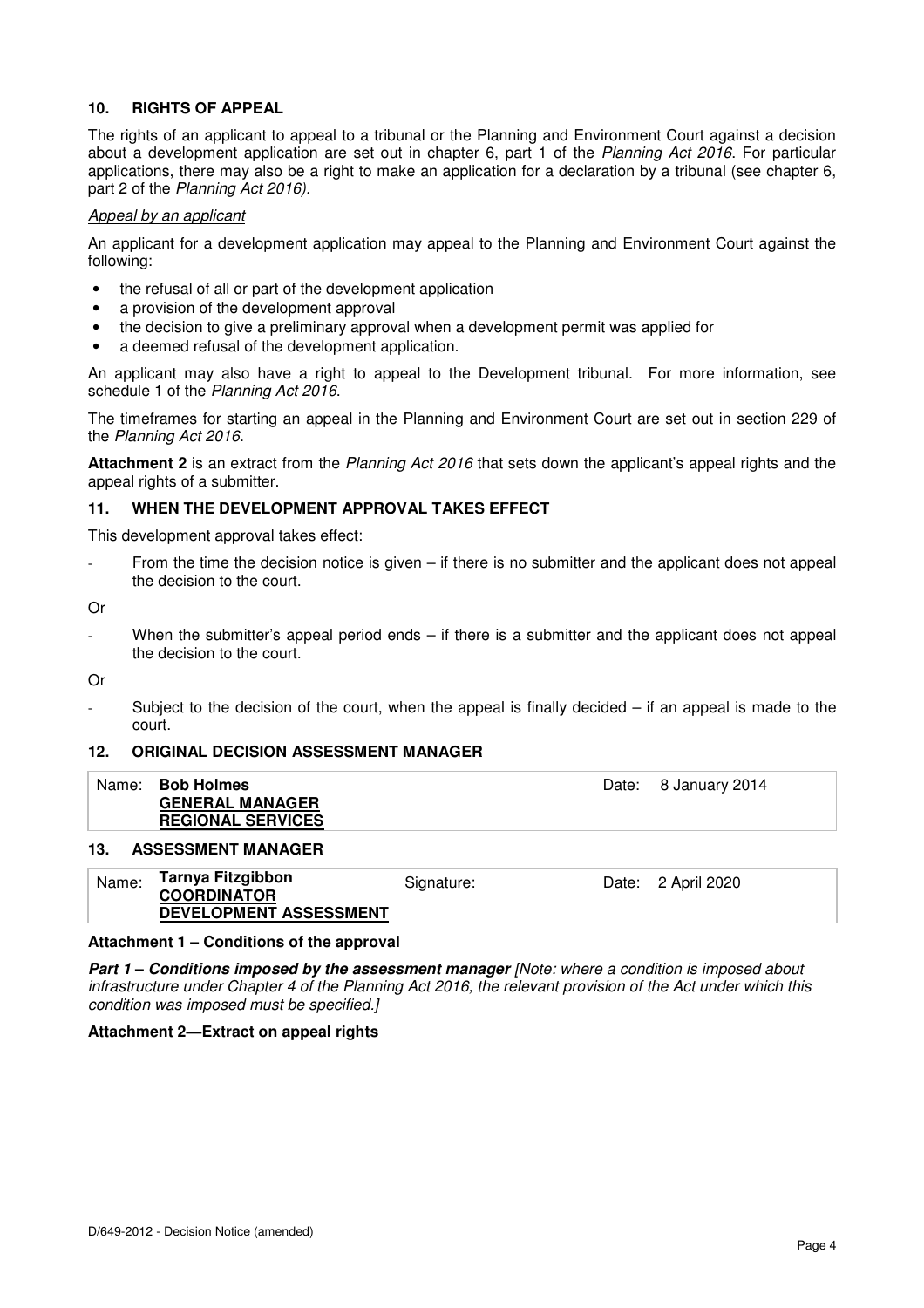### **10. RIGHTS OF APPEAL**

The rights of an applicant to appeal to a tribunal or the Planning and Environment Court against a decision about a development application are set out in chapter 6, part 1 of the Planning Act 2016. For particular applications, there may also be a right to make an application for a declaration by a tribunal (see chapter 6, part 2 of the Planning Act 2016).

#### Appeal by an applicant

An applicant for a development application may appeal to the Planning and Environment Court against the following:

- the refusal of all or part of the development application
- a provision of the development approval
- the decision to give a preliminary approval when a development permit was applied for
- a deemed refusal of the development application.

An applicant may also have a right to appeal to the Development tribunal. For more information, see schedule 1 of the Planning Act 2016.

The timeframes for starting an appeal in the Planning and Environment Court are set out in section 229 of the Planning Act 2016.

Attachment 2 is an extract from the Planning Act 2016 that sets down the applicant's appeal rights and the appeal rights of a submitter.

#### **11. WHEN THE DEVELOPMENT APPROVAL TAKES EFFECT**

This development approval takes effect:

From the time the decision notice is given  $-$  if there is no submitter and the applicant does not appeal the decision to the court.

Or

When the submitter's appeal period ends  $-$  if there is a submitter and the applicant does not appeal the decision to the court.

Or

Subject to the decision of the court, when the appeal is finally decided  $-$  if an appeal is made to the court.

#### **12. ORIGINAL DECISION ASSESSMENT MANAGER**

| Name: Bob Holmes         | Date: 8 January 2014 |
|--------------------------|----------------------|
| <b>GENERAL MANAGER</b>   |                      |
| <b>REGIONAL SERVICES</b> |                      |

#### **13. ASSESSMENT MANAGER**

| Name: | Tarnya Fitzgibbon      | Signature: | Date: 2 April 2020 |
|-------|------------------------|------------|--------------------|
|       | <b>COORDINATOR</b>     |            |                    |
|       | DEVELOPMENT ASSESSMENT |            |                    |

#### **Attachment 1 – Conditions of the approval**

**Part 1 – Conditions imposed by the assessment manager** [Note: where a condition is imposed about infrastructure under Chapter 4 of the Planning Act 2016, the relevant provision of the Act under which this condition was imposed must be specified.]

#### **Attachment 2—Extract on appeal rights**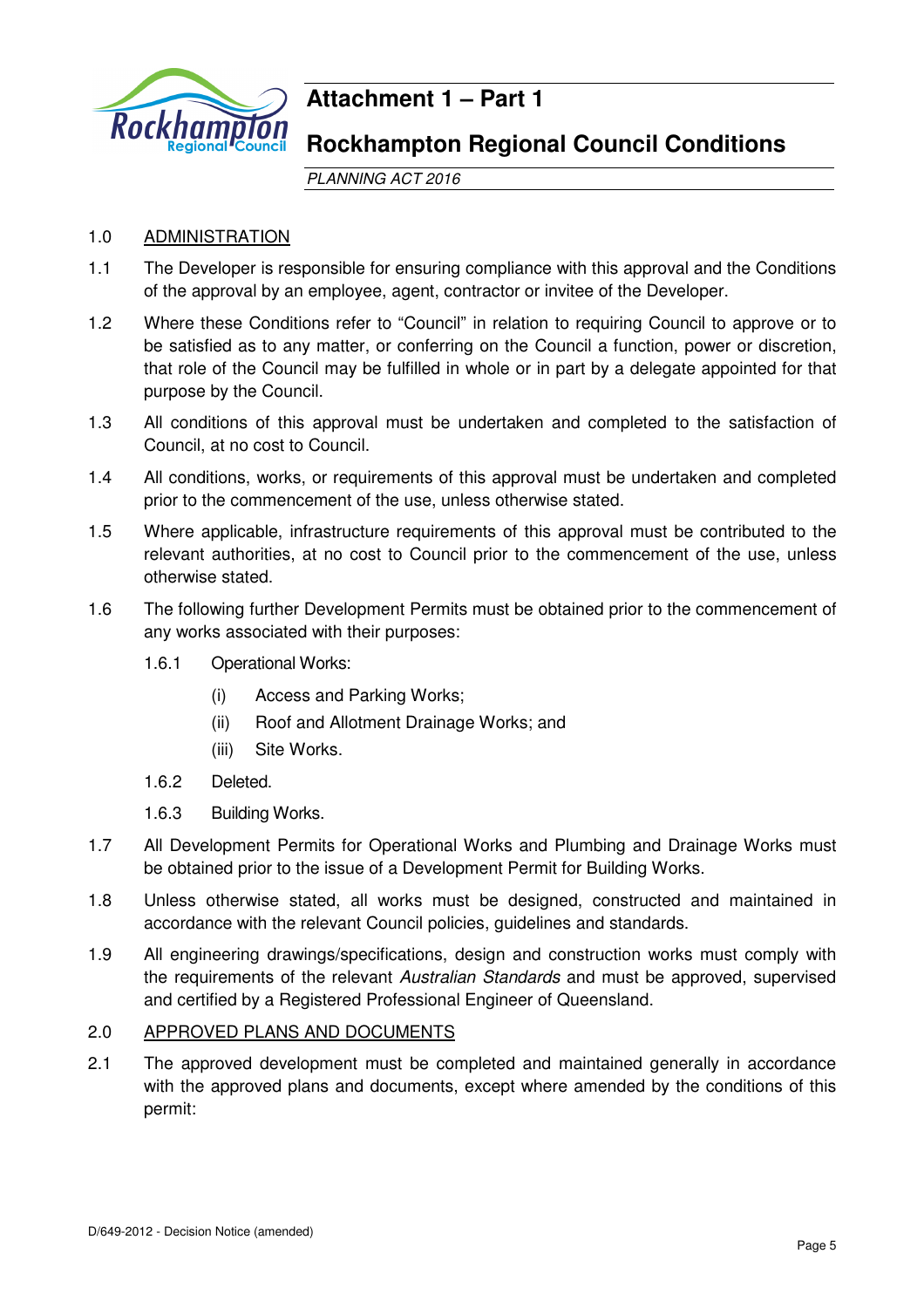

# **Attachment 1 – Part 1**

## **Rockhampton Regional Council Conditions**

PLANNING ACT 2016

## 1.0 ADMINISTRATION

- 1.1 The Developer is responsible for ensuring compliance with this approval and the Conditions of the approval by an employee, agent, contractor or invitee of the Developer.
- 1.2 Where these Conditions refer to "Council" in relation to requiring Council to approve or to be satisfied as to any matter, or conferring on the Council a function, power or discretion, that role of the Council may be fulfilled in whole or in part by a delegate appointed for that purpose by the Council.
- 1.3 All conditions of this approval must be undertaken and completed to the satisfaction of Council, at no cost to Council.
- 1.4 All conditions, works, or requirements of this approval must be undertaken and completed prior to the commencement of the use, unless otherwise stated.
- 1.5 Where applicable, infrastructure requirements of this approval must be contributed to the relevant authorities, at no cost to Council prior to the commencement of the use, unless otherwise stated.
- 1.6 The following further Development Permits must be obtained prior to the commencement of any works associated with their purposes:
	- 1.6.1 Operational Works:
		- (i) Access and Parking Works;
		- (ii) Roof and Allotment Drainage Works; and
		- (iii) Site Works.
	- 1.6.2 Deleted.
	- 1.6.3 Building Works.
- 1.7 All Development Permits for Operational Works and Plumbing and Drainage Works must be obtained prior to the issue of a Development Permit for Building Works.
- 1.8 Unless otherwise stated, all works must be designed, constructed and maintained in accordance with the relevant Council policies, guidelines and standards.
- 1.9 All engineering drawings/specifications, design and construction works must comply with the requirements of the relevant Australian Standards and must be approved, supervised and certified by a Registered Professional Engineer of Queensland.

## 2.0 APPROVED PLANS AND DOCUMENTS

2.1 The approved development must be completed and maintained generally in accordance with the approved plans and documents, except where amended by the conditions of this permit: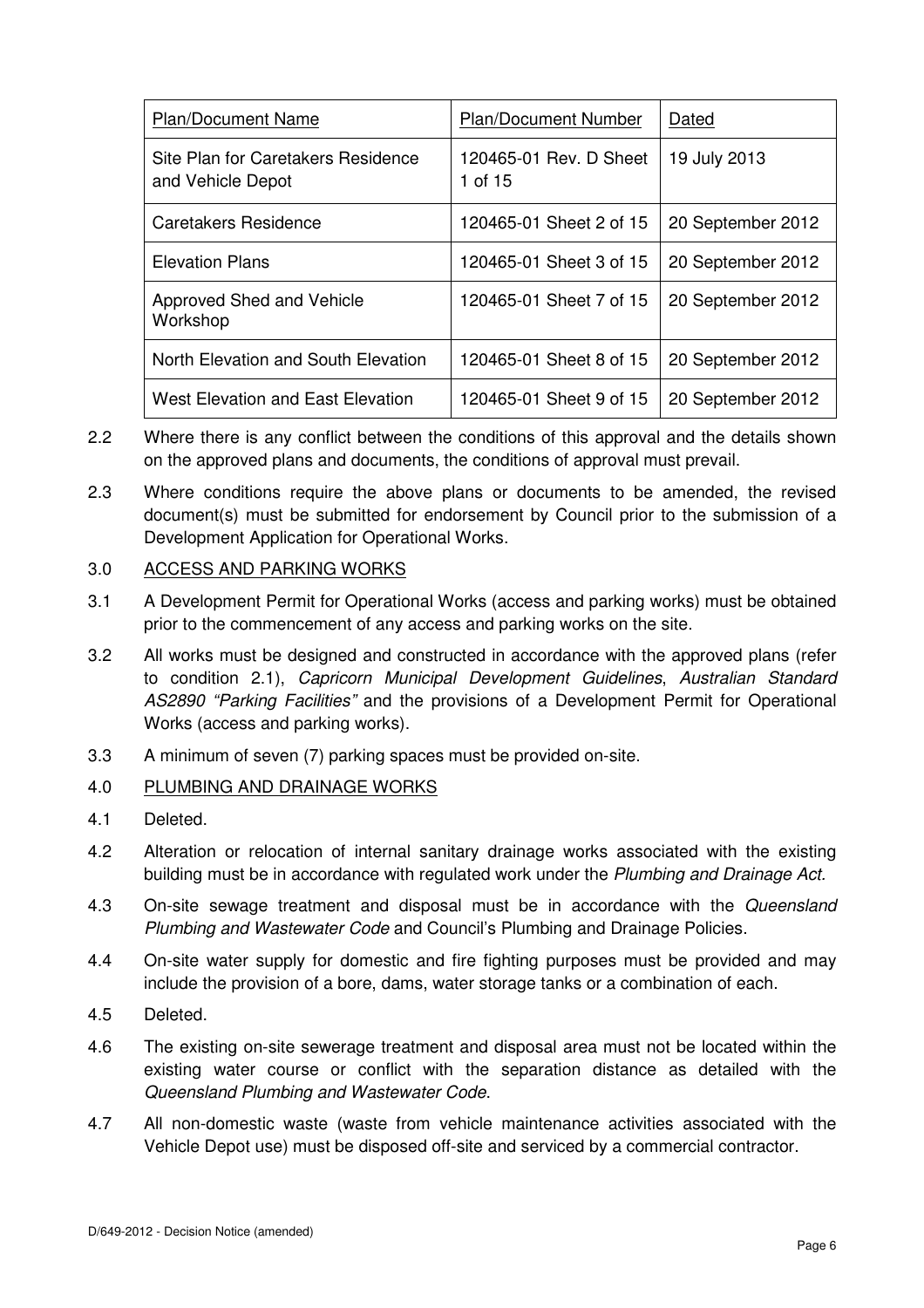| <b>Plan/Document Name</b>                               | <b>Plan/Document Number</b>       | Dated             |
|---------------------------------------------------------|-----------------------------------|-------------------|
| Site Plan for Caretakers Residence<br>and Vehicle Depot | 120465-01 Rev. D Sheet<br>1 of 15 | 19 July 2013      |
| Caretakers Residence                                    | 120465-01 Sheet 2 of 15           | 20 September 2012 |
| <b>Elevation Plans</b>                                  | 120465-01 Sheet 3 of 15           | 20 September 2012 |
| Approved Shed and Vehicle<br>Workshop                   | 120465-01 Sheet 7 of 15           | 20 September 2012 |
| North Elevation and South Elevation                     | 120465-01 Sheet 8 of 15           | 20 September 2012 |
| West Elevation and East Elevation                       | 120465-01 Sheet 9 of 15           | 20 September 2012 |

- 2.2 Where there is any conflict between the conditions of this approval and the details shown on the approved plans and documents, the conditions of approval must prevail.
- 2.3 Where conditions require the above plans or documents to be amended, the revised document(s) must be submitted for endorsement by Council prior to the submission of a Development Application for Operational Works.

## 3.0 ACCESS AND PARKING WORKS

- 3.1 A Development Permit for Operational Works (access and parking works) must be obtained prior to the commencement of any access and parking works on the site.
- 3.2 All works must be designed and constructed in accordance with the approved plans (refer to condition 2.1), Capricorn Municipal Development Guidelines, Australian Standard AS2890 "Parking Facilities" and the provisions of a Development Permit for Operational Works (access and parking works).
- 3.3 A minimum of seven (7) parking spaces must be provided on-site.
- 4.0 PLUMBING AND DRAINAGE WORKS
- 4.1 Deleted.
- 4.2 Alteration or relocation of internal sanitary drainage works associated with the existing building must be in accordance with regulated work under the Plumbing and Drainage Act.
- 4.3 On-site sewage treatment and disposal must be in accordance with the Queensland Plumbing and Wastewater Code and Council's Plumbing and Drainage Policies.
- 4.4 On-site water supply for domestic and fire fighting purposes must be provided and may include the provision of a bore, dams, water storage tanks or a combination of each.
- 4.5 Deleted.
- 4.6 The existing on-site sewerage treatment and disposal area must not be located within the existing water course or conflict with the separation distance as detailed with the Queensland Plumbing and Wastewater Code.
- 4.7 All non-domestic waste (waste from vehicle maintenance activities associated with the Vehicle Depot use) must be disposed off-site and serviced by a commercial contractor.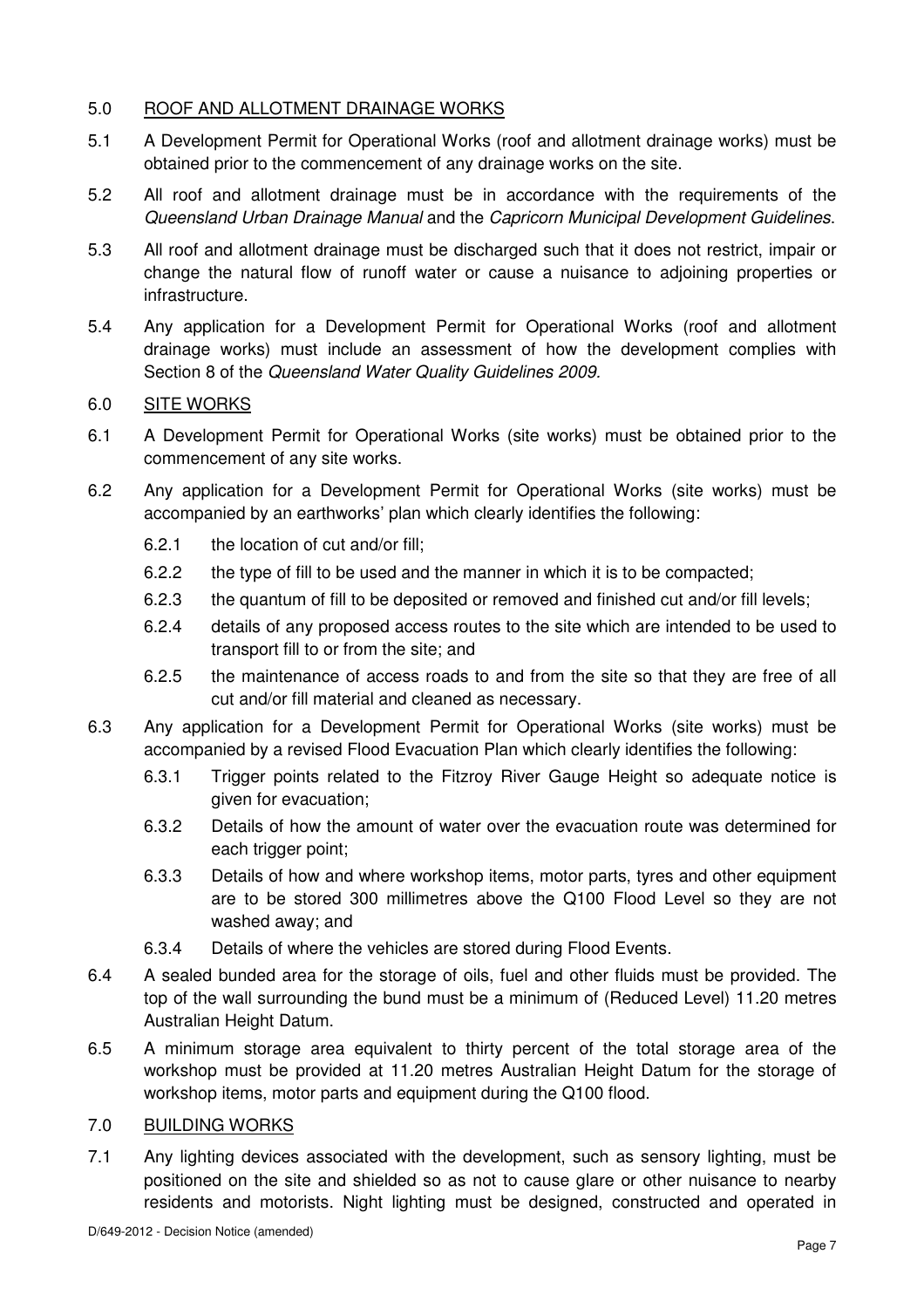## 5.0 ROOF AND ALLOTMENT DRAINAGE WORKS

- 5.1 A Development Permit for Operational Works (roof and allotment drainage works) must be obtained prior to the commencement of any drainage works on the site.
- 5.2 All roof and allotment drainage must be in accordance with the requirements of the Queensland Urban Drainage Manual and the Capricorn Municipal Development Guidelines.
- 5.3 All roof and allotment drainage must be discharged such that it does not restrict, impair or change the natural flow of runoff water or cause a nuisance to adjoining properties or infrastructure.
- 5.4 Any application for a Development Permit for Operational Works (roof and allotment drainage works) must include an assessment of how the development complies with Section 8 of the Queensland Water Quality Guidelines 2009.

## 6.0 SITE WORKS

- 6.1 A Development Permit for Operational Works (site works) must be obtained prior to the commencement of any site works.
- 6.2 Any application for a Development Permit for Operational Works (site works) must be accompanied by an earthworks' plan which clearly identifies the following:
	- 6.2.1 the location of cut and/or fill;
	- 6.2.2 the type of fill to be used and the manner in which it is to be compacted;
	- 6.2.3 the quantum of fill to be deposited or removed and finished cut and/or fill levels;
	- 6.2.4 details of any proposed access routes to the site which are intended to be used to transport fill to or from the site; and
	- 6.2.5 the maintenance of access roads to and from the site so that they are free of all cut and/or fill material and cleaned as necessary.
- 6.3 Any application for a Development Permit for Operational Works (site works) must be accompanied by a revised Flood Evacuation Plan which clearly identifies the following:
	- 6.3.1 Trigger points related to the Fitzroy River Gauge Height so adequate notice is given for evacuation;
	- 6.3.2 Details of how the amount of water over the evacuation route was determined for each trigger point;
	- 6.3.3 Details of how and where workshop items, motor parts, tyres and other equipment are to be stored 300 millimetres above the Q100 Flood Level so they are not washed away; and
	- 6.3.4 Details of where the vehicles are stored during Flood Events.
- 6.4 A sealed bunded area for the storage of oils, fuel and other fluids must be provided. The top of the wall surrounding the bund must be a minimum of (Reduced Level) 11.20 metres Australian Height Datum.
- 6.5 A minimum storage area equivalent to thirty percent of the total storage area of the workshop must be provided at 11.20 metres Australian Height Datum for the storage of workshop items, motor parts and equipment during the Q100 flood.

## 7.0 BUILDING WORKS

7.1 Any lighting devices associated with the development, such as sensory lighting, must be positioned on the site and shielded so as not to cause glare or other nuisance to nearby residents and motorists. Night lighting must be designed, constructed and operated in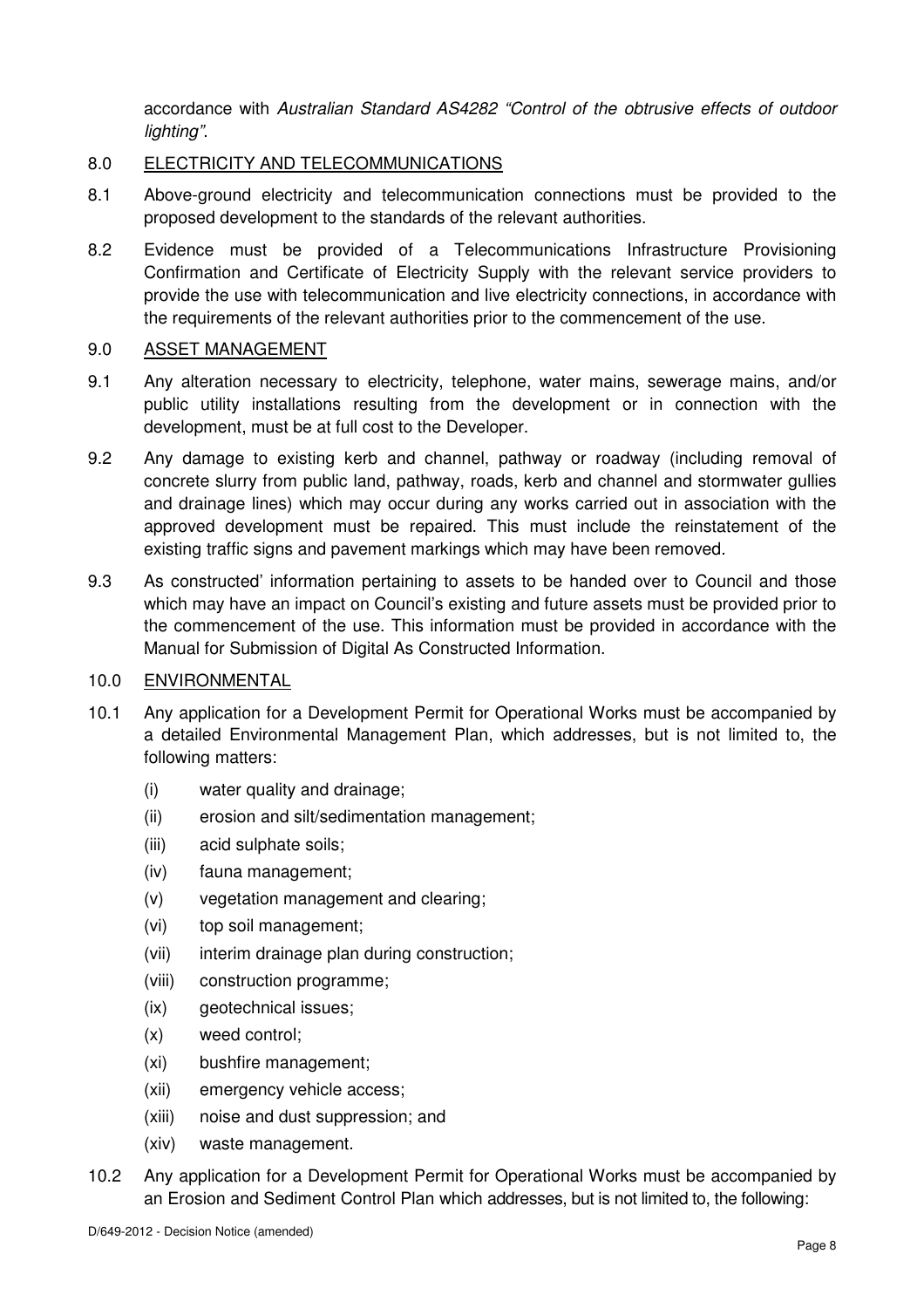accordance with Australian Standard AS4282 "Control of the obtrusive effects of outdoor lighting".

## 8.0 ELECTRICITY AND TELECOMMUNICATIONS

- 8.1 Above-ground electricity and telecommunication connections must be provided to the proposed development to the standards of the relevant authorities.
- 8.2 Evidence must be provided of a Telecommunications Infrastructure Provisioning Confirmation and Certificate of Electricity Supply with the relevant service providers to provide the use with telecommunication and live electricity connections, in accordance with the requirements of the relevant authorities prior to the commencement of the use.

## 9.0 ASSET MANAGEMENT

- 9.1 Any alteration necessary to electricity, telephone, water mains, sewerage mains, and/or public utility installations resulting from the development or in connection with the development, must be at full cost to the Developer.
- 9.2 Any damage to existing kerb and channel, pathway or roadway (including removal of concrete slurry from public land, pathway, roads, kerb and channel and stormwater gullies and drainage lines) which may occur during any works carried out in association with the approved development must be repaired. This must include the reinstatement of the existing traffic signs and pavement markings which may have been removed.
- 9.3 As constructed' information pertaining to assets to be handed over to Council and those which may have an impact on Council's existing and future assets must be provided prior to the commencement of the use. This information must be provided in accordance with the Manual for Submission of Digital As Constructed Information.

### 10.0 ENVIRONMENTAL

- 10.1 Any application for a Development Permit for Operational Works must be accompanied by a detailed Environmental Management Plan, which addresses, but is not limited to, the following matters:
	- (i) water quality and drainage;
	- (ii) erosion and silt/sedimentation management;
	- (iii) acid sulphate soils;
	- (iv) fauna management;
	- (v) vegetation management and clearing;
	- (vi) top soil management;
	- (vii) interim drainage plan during construction;
	- (viii) construction programme;
	- (ix) geotechnical issues:
	- (x) weed control;
	- (xi) bushfire management;
	- (xii) emergency vehicle access;
	- (xiii) noise and dust suppression; and
	- (xiv) waste management.
- 10.2 Any application for a Development Permit for Operational Works must be accompanied by an Erosion and Sediment Control Plan which addresses, but is not limited to, the following: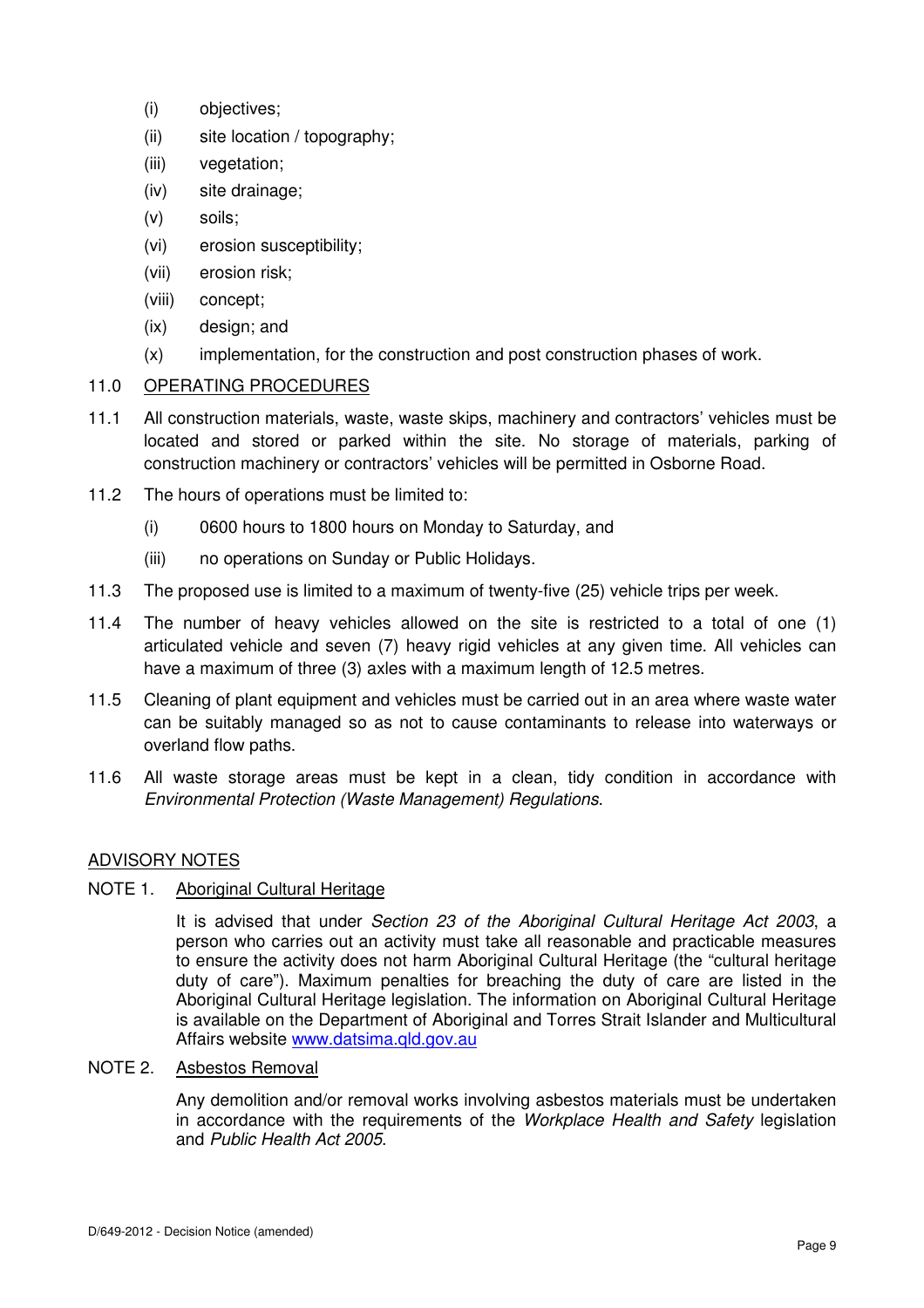- (i) objectives;
- (ii) site location / topography;
- (iii) vegetation;
- (iv) site drainage;
- (v) soils;
- (vi) erosion susceptibility;
- (vii) erosion risk;
- (viii) concept;
- (ix) design; and
- (x) implementation, for the construction and post construction phases of work.

## 11.0 OPERATING PROCEDURES

- 11.1 All construction materials, waste, waste skips, machinery and contractors' vehicles must be located and stored or parked within the site. No storage of materials, parking of construction machinery or contractors' vehicles will be permitted in Osborne Road.
- 11.2 The hours of operations must be limited to:
	- (i) 0600 hours to 1800 hours on Monday to Saturday, and
	- (iii) no operations on Sunday or Public Holidays.
- 11.3 The proposed use is limited to a maximum of twenty-five (25) vehicle trips per week.
- 11.4 The number of heavy vehicles allowed on the site is restricted to a total of one (1) articulated vehicle and seven (7) heavy rigid vehicles at any given time. All vehicles can have a maximum of three (3) axles with a maximum length of 12.5 metres.
- 11.5 Cleaning of plant equipment and vehicles must be carried out in an area where waste water can be suitably managed so as not to cause contaminants to release into waterways or overland flow paths.
- 11.6 All waste storage areas must be kept in a clean, tidy condition in accordance with Environmental Protection (Waste Management) Regulations.

## ADVISORY NOTES

NOTE 1. Aboriginal Cultural Heritage

It is advised that under Section 23 of the Aboriginal Cultural Heritage Act 2003, a person who carries out an activity must take all reasonable and practicable measures to ensure the activity does not harm Aboriginal Cultural Heritage (the "cultural heritage duty of care"). Maximum penalties for breaching the duty of care are listed in the Aboriginal Cultural Heritage legislation. The information on Aboriginal Cultural Heritage is available on the Department of Aboriginal and Torres Strait Islander and Multicultural Affairs website www.datsima.qld.gov.au

NOTE 2. Asbestos Removal

Any demolition and/or removal works involving asbestos materials must be undertaken in accordance with the requirements of the Workplace Health and Safety legislation and Public Health Act 2005.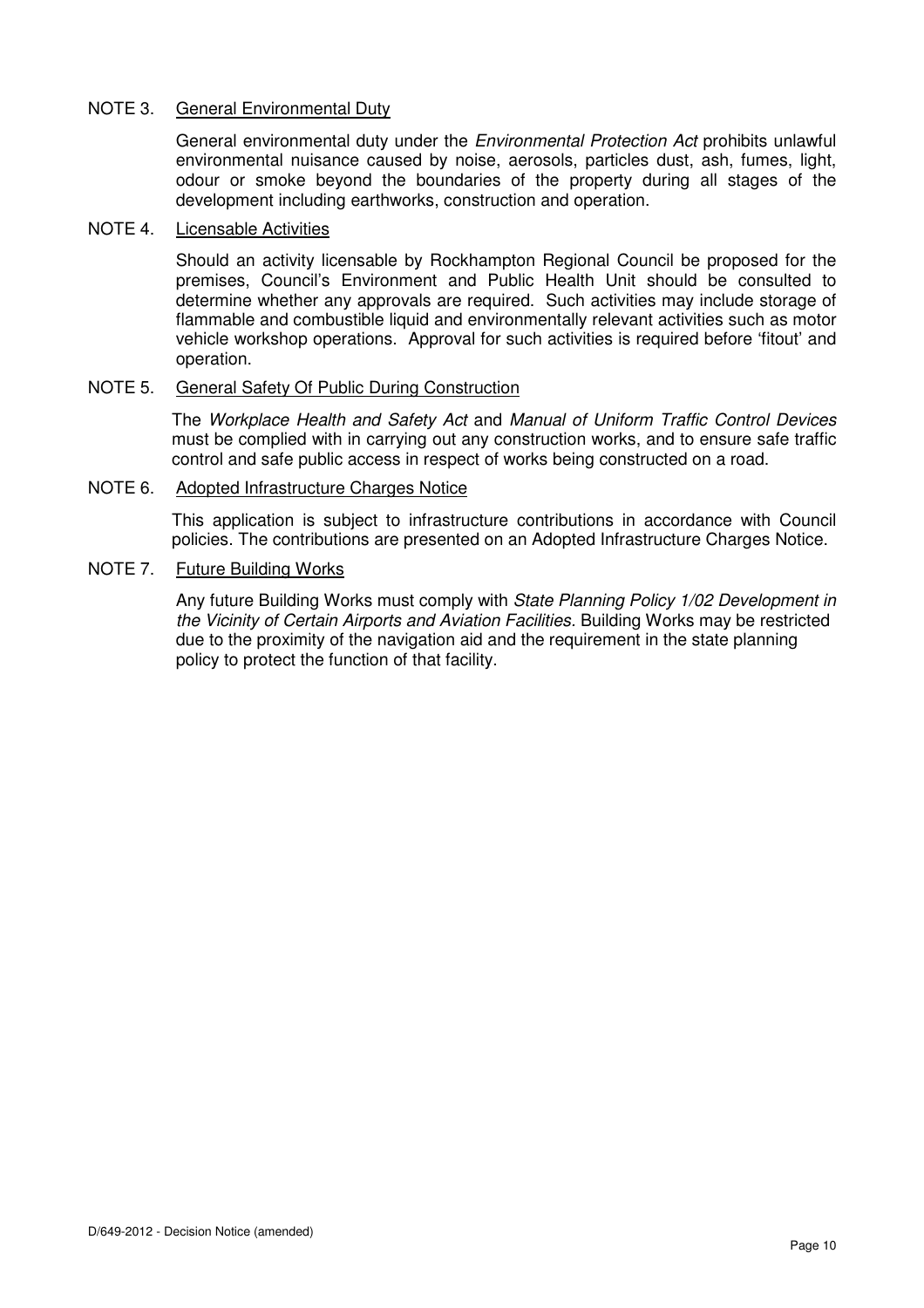## NOTE 3. General Environmental Duty

General environmental duty under the Environmental Protection Act prohibits unlawful environmental nuisance caused by noise, aerosols, particles dust, ash, fumes, light, odour or smoke beyond the boundaries of the property during all stages of the development including earthworks, construction and operation.

### NOTE 4. Licensable Activities

Should an activity licensable by Rockhampton Regional Council be proposed for the premises, Council's Environment and Public Health Unit should be consulted to determine whether any approvals are required. Such activities may include storage of flammable and combustible liquid and environmentally relevant activities such as motor vehicle workshop operations. Approval for such activities is required before 'fitout' and operation.

## NOTE 5. General Safety Of Public During Construction

The Workplace Health and Safety Act and Manual of Uniform Traffic Control Devices must be complied with in carrying out any construction works, and to ensure safe traffic control and safe public access in respect of works being constructed on a road.

### NOTE 6. Adopted Infrastructure Charges Notice

This application is subject to infrastructure contributions in accordance with Council policies. The contributions are presented on an Adopted Infrastructure Charges Notice.

## NOTE 7. Future Building Works

Any future Building Works must comply with State Planning Policy 1/02 Development in the Vicinity of Certain Airports and Aviation Facilities. Building Works may be restricted due to the proximity of the navigation aid and the requirement in the state planning policy to protect the function of that facility.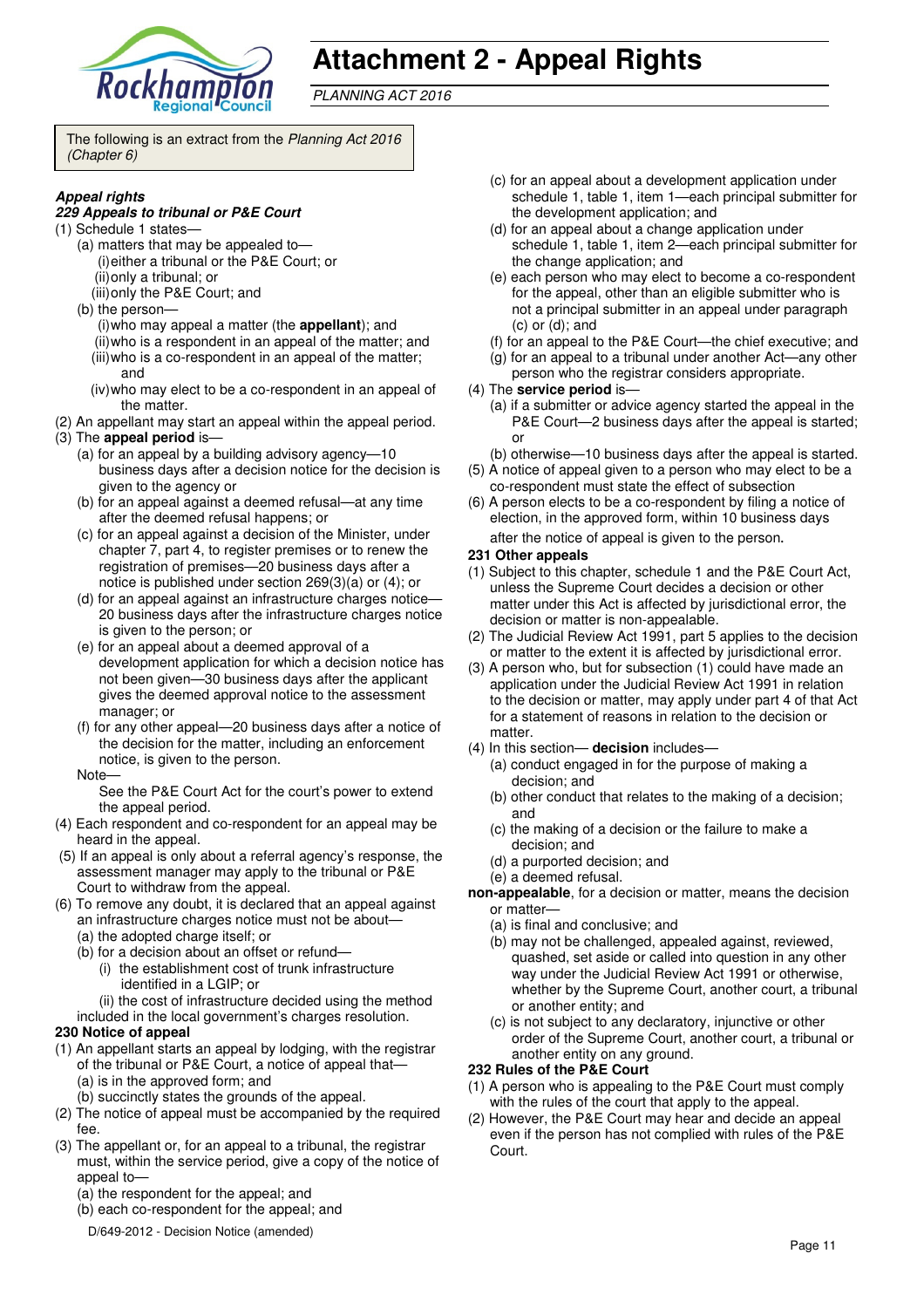

# **Attachment 2 - Appeal Rights**

PLANNING ACT 2016

The following is an extract from the Planning Act 2016 (Chapter 6)

## **Appeal rights**

#### **229 Appeals to tribunal or P&E Court**

- (1) Schedule 1 states—
	- (a) matters that may be appealed to—
	- (i) either a tribunal or the P&E Court; or
		- (ii) only a tribunal; or (iii) only the P&E Court; and
	- (b) the person—
		- (i) who may appeal a matter (the **appellant**); and (ii) who is a respondent in an appeal of the matter; and (iii) who is a co-respondent in an appeal of the matter; and
		- (iv) who may elect to be a co-respondent in an appeal of the matter.
- (2) An appellant may start an appeal within the appeal period.
- (3) The **appeal period** is—
	- (a) for an appeal by a building advisory agency—10 business days after a decision notice for the decision is given to the agency or
	- (b) for an appeal against a deemed refusal—at any time after the deemed refusal happens; or
	- (c) for an appeal against a decision of the Minister, under chapter 7, part 4, to register premises or to renew the registration of premises—20 business days after a notice is published under section 269(3)(a) or (4); or
	- (d) for an appeal against an infrastructure charges notice— 20 business days after the infrastructure charges notice is given to the person; or
	- (e) for an appeal about a deemed approval of a development application for which a decision notice has not been given—30 business days after the applicant gives the deemed approval notice to the assessment manager; or
	- (f) for any other appeal—20 business days after a notice of the decision for the matter, including an enforcement notice, is given to the person.
	- Note—

See the P&E Court Act for the court's power to extend the appeal period.

- (4) Each respondent and co-respondent for an appeal may be heard in the appeal.
- (5) If an appeal is only about a referral agency's response, the assessment manager may apply to the tribunal or P&E Court to withdraw from the appeal.
- (6) To remove any doubt, it is declared that an appeal against an infrastructure charges notice must not be about—
	- (a) the adopted charge itself; or
	- (b) for a decision about an offset or refund—
		- (i) the establishment cost of trunk infrastructure identified in a LGIP; or
	- (ii) the cost of infrastructure decided using the method included in the local government's charges resolution.

### **230 Notice of appeal**

- (1) An appellant starts an appeal by lodging, with the registrar of the tribunal or P&E Court, a notice of appeal that—
	- (a) is in the approved form; and (b) succinctly states the grounds of the appeal.
- (2) The notice of appeal must be accompanied by the required fee.
- (3) The appellant or, for an appeal to a tribunal, the registrar must, within the service period, give a copy of the notice of appeal to—
	- (a) the respondent for the appeal; and
	- (b) each co-respondent for the appeal; and
	- D/649-2012 Decision Notice (amended)
- (c) for an appeal about a development application under schedule 1, table 1, item 1—each principal submitter for the development application; and
- (d) for an appeal about a change application under schedule 1, table 1, item 2—each principal submitter for the change application; and
- (e) each person who may elect to become a co-respondent for the appeal, other than an eligible submitter who is not a principal submitter in an appeal under paragraph (c) or (d); and
- (f) for an appeal to the P&E Court—the chief executive; and
- (g) for an appeal to a tribunal under another Act—any other person who the registrar considers appropriate.
- (4) The **service period** is—
	- (a) if a submitter or advice agency started the appeal in the P&E Court—2 business days after the appeal is started; or
	- (b) otherwise—10 business days after the appeal is started.
- (5) A notice of appeal given to a person who may elect to be a co-respondent must state the effect of subsection
- (6) A person elects to be a co-respondent by filing a notice of election, in the approved form, within 10 business days after the notice of appeal is given to the person*.*
- **231 Other appeals**
- (1) Subject to this chapter, schedule 1 and the P&E Court Act, unless the Supreme Court decides a decision or other matter under this Act is affected by jurisdictional error, the decision or matter is non-appealable.
- (2) The Judicial Review Act 1991, part 5 applies to the decision or matter to the extent it is affected by jurisdictional error.
- (3) A person who, but for subsection (1) could have made an application under the Judicial Review Act 1991 in relation to the decision or matter, may apply under part 4 of that Act for a statement of reasons in relation to the decision or matter
- (4) In this section— **decision** includes—
	- (a) conduct engaged in for the purpose of making a decision; and
	- (b) other conduct that relates to the making of a decision; and
	- (c) the making of a decision or the failure to make a decision; and
	- (d) a purported decision; and
	- (e) a deemed refusal.
- **non-appealable**, for a decision or matter, means the decision or matter—
	- (a) is final and conclusive; and
	- (b) may not be challenged, appealed against, reviewed, quashed, set aside or called into question in any other way under the Judicial Review Act 1991 or otherwise, whether by the Supreme Court, another court, a tribunal or another entity; and
	- (c) is not subject to any declaratory, injunctive or other order of the Supreme Court, another court, a tribunal or another entity on any ground.

#### **232 Rules of the P&E Court**

- (1) A person who is appealing to the P&E Court must comply with the rules of the court that apply to the appeal.
- (2) However, the P&E Court may hear and decide an appeal even if the person has not complied with rules of the P&E Court.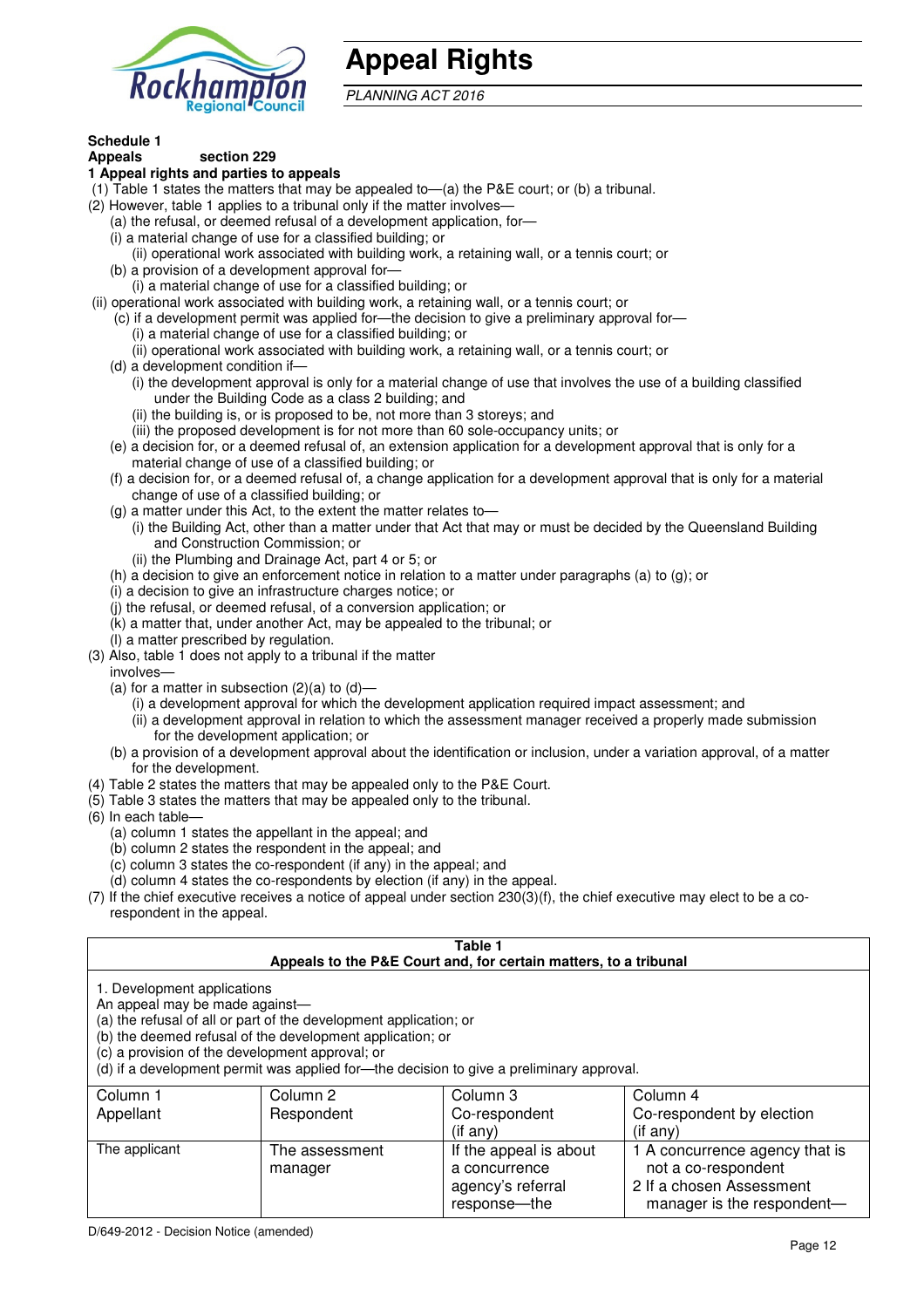

# **Appeal Rights**

PLANNING ACT 2016

# **Schedule 1**

#### **Appeals section 229 1 Appeal rights and parties to appeals**

- (1) Table 1 states the matters that may be appealed to—(a) the P&E court; or (b) a tribunal.
- (2) However, table 1 applies to a tribunal only if the matter involves—
	- (a) the refusal, or deemed refusal of a development application, for—
	- (i) a material change of use for a classified building; or
	- (ii) operational work associated with building work, a retaining wall, or a tennis court; or
	- (b) a provision of a development approval for—
	- (i) a material change of use for a classified building; or
- (ii) operational work associated with building work, a retaining wall, or a tennis court; or
	- (c) if a development permit was applied for—the decision to give a preliminary approval for—
		- (i) a material change of use for a classified building; or
		- (ii) operational work associated with building work, a retaining wall, or a tennis court; or
	- (d) a development condition if—
		- (i) the development approval is only for a material change of use that involves the use of a building classified under the Building Code as a class 2 building; and
		- (ii) the building is, or is proposed to be, not more than 3 storeys; and
		- (iii) the proposed development is for not more than 60 sole-occupancy units; or
	- (e) a decision for, or a deemed refusal of, an extension application for a development approval that is only for a material change of use of a classified building; or
	- (f) a decision for, or a deemed refusal of, a change application for a development approval that is only for a material change of use of a classified building; or
	- (g) a matter under this Act, to the extent the matter relates to—
		- (i) the Building Act, other than a matter under that Act that may or must be decided by the Queensland Building and Construction Commission; or
			- (ii) the Plumbing and Drainage Act, part 4 or 5; or
	- (h) a decision to give an enforcement notice in relation to a matter under paragraphs (a) to (g); or
	- (i) a decision to give an infrastructure charges notice; or
	- (j) the refusal, or deemed refusal, of a conversion application; or
	- (k) a matter that, under another Act, may be appealed to the tribunal; or
	- (l) a matter prescribed by regulation.
- (3) Also, table 1 does not apply to a tribunal if the matter
- involves—
	- (a) for a matter in subsection  $(2)(a)$  to  $(d)$ 
		- (i) a development approval for which the development application required impact assessment; and
		- (ii) a development approval in relation to which the assessment manager received a properly made submission for the development application; or
	- (b) a provision of a development approval about the identification or inclusion, under a variation approval, of a matter for the development.
- (4) Table 2 states the matters that may be appealed only to the P&E Court.
- (5) Table 3 states the matters that may be appealed only to the tribunal.
- (6) In each table—
	- (a) column 1 states the appellant in the appeal; and
	- (b) column 2 states the respondent in the appeal; and
	- (c) column 3 states the co-respondent (if any) in the appeal; and
	- (d) column 4 states the co-respondents by election (if any) in the appeal.
- (7) If the chief executive receives a notice of appeal under section 230(3)(f), the chief executive may elect to be a corespondent in the appeal.

| Table 1<br>Appeals to the P&E Court and, for certain matters, to a tribunal                                                                                                                                                                                                                                                                    |                |                                 |                                             |  |
|------------------------------------------------------------------------------------------------------------------------------------------------------------------------------------------------------------------------------------------------------------------------------------------------------------------------------------------------|----------------|---------------------------------|---------------------------------------------|--|
| 1. Development applications<br>An appeal may be made against-<br>(a) the refusal of all or part of the development application; or<br>(b) the deemed refusal of the development application; or<br>(c) a provision of the development approval; or<br>(d) if a development permit was applied for-the decision to give a preliminary approval. |                |                                 |                                             |  |
| Column 1                                                                                                                                                                                                                                                                                                                                       | Column 2       | Column 3                        | Column 4                                    |  |
| Appellant                                                                                                                                                                                                                                                                                                                                      | Respondent     | Co-respondent<br>$($ if any $)$ | Co-respondent by election<br>$(i$ f anv $)$ |  |
| The applicant                                                                                                                                                                                                                                                                                                                                  | The assessment | If the appeal is about          | 1 A concurrence agency that is              |  |
|                                                                                                                                                                                                                                                                                                                                                | manager        | a concurrence                   | not a co-respondent                         |  |
|                                                                                                                                                                                                                                                                                                                                                |                | agency's referral               | 2 If a chosen Assessment                    |  |
|                                                                                                                                                                                                                                                                                                                                                |                | response—the                    | manager is the respondent-                  |  |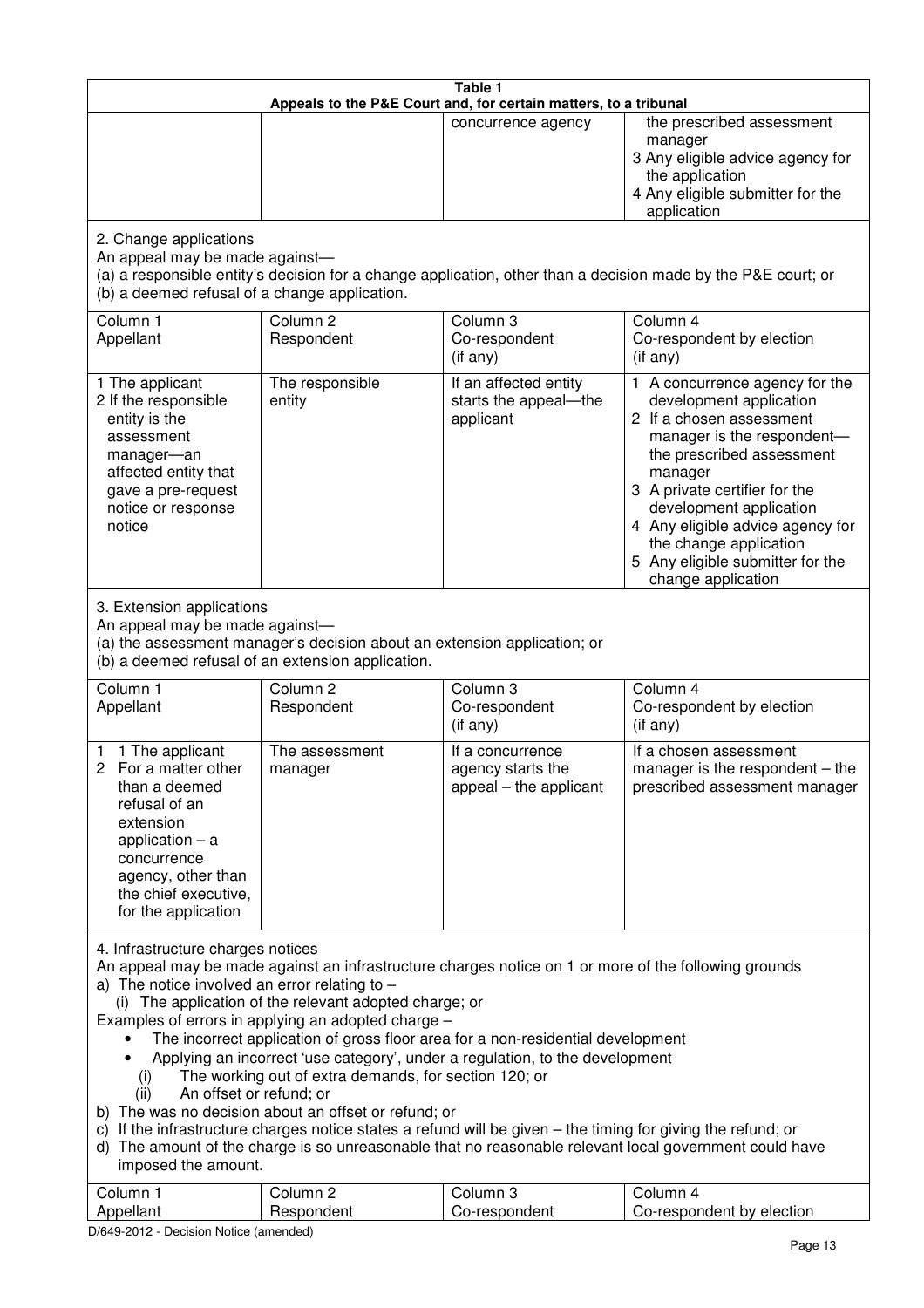| Table 1<br>Appeals to the P&E Court and, for certain matters, to a tribunal                                                                                                                                                                                                                                                                                                                                                                                                                                                                                                                                                                                                                                                                                                                                                                                                                                                                 |                                   |                                                                 |                                                                                                                                                                                                                                                                                                                                                 |  |  |
|---------------------------------------------------------------------------------------------------------------------------------------------------------------------------------------------------------------------------------------------------------------------------------------------------------------------------------------------------------------------------------------------------------------------------------------------------------------------------------------------------------------------------------------------------------------------------------------------------------------------------------------------------------------------------------------------------------------------------------------------------------------------------------------------------------------------------------------------------------------------------------------------------------------------------------------------|-----------------------------------|-----------------------------------------------------------------|-------------------------------------------------------------------------------------------------------------------------------------------------------------------------------------------------------------------------------------------------------------------------------------------------------------------------------------------------|--|--|
|                                                                                                                                                                                                                                                                                                                                                                                                                                                                                                                                                                                                                                                                                                                                                                                                                                                                                                                                             |                                   | concurrence agency                                              | the prescribed assessment<br>manager<br>3 Any eligible advice agency for<br>the application<br>4 Any eligible submitter for the<br>application                                                                                                                                                                                                  |  |  |
| 2. Change applications<br>An appeal may be made against-<br>(b) a deemed refusal of a change application.                                                                                                                                                                                                                                                                                                                                                                                                                                                                                                                                                                                                                                                                                                                                                                                                                                   |                                   |                                                                 | (a) a responsible entity's decision for a change application, other than a decision made by the P&E court; or                                                                                                                                                                                                                                   |  |  |
| Column 1<br>Appellant                                                                                                                                                                                                                                                                                                                                                                                                                                                                                                                                                                                                                                                                                                                                                                                                                                                                                                                       | Column <sub>2</sub><br>Respondent | Column 3<br>Co-respondent<br>(if any)                           | Column 4<br>Co-respondent by election<br>(if any)                                                                                                                                                                                                                                                                                               |  |  |
| 1 The applicant<br>2 If the responsible<br>entity is the<br>assessment<br>manager-an<br>affected entity that<br>gave a pre-request<br>notice or response<br>notice                                                                                                                                                                                                                                                                                                                                                                                                                                                                                                                                                                                                                                                                                                                                                                          | The responsible<br>entity         | If an affected entity<br>starts the appeal-the<br>applicant     | 1 A concurrence agency for the<br>development application<br>2 If a chosen assessment<br>manager is the respondent-<br>the prescribed assessment<br>manager<br>3 A private certifier for the<br>development application<br>4 Any eligible advice agency for<br>the change application<br>5 Any eligible submitter for the<br>change application |  |  |
| 3. Extension applications<br>An appeal may be made against-<br>(a) the assessment manager's decision about an extension application; or<br>(b) a deemed refusal of an extension application.                                                                                                                                                                                                                                                                                                                                                                                                                                                                                                                                                                                                                                                                                                                                                |                                   |                                                                 |                                                                                                                                                                                                                                                                                                                                                 |  |  |
| Column 1<br>Appellant                                                                                                                                                                                                                                                                                                                                                                                                                                                                                                                                                                                                                                                                                                                                                                                                                                                                                                                       | Column <sub>2</sub><br>Respondent | Column 3<br>Co-respondent<br>(if any)                           | Column 4<br>Co-respondent by election<br>(if any)                                                                                                                                                                                                                                                                                               |  |  |
| 1 The applicant<br>1.<br>2 For a matter other<br>than a deemed<br>refusal of an<br>extension<br>application $-$ a<br>concurrence<br>agency, other than<br>the chief executive,<br>for the application                                                                                                                                                                                                                                                                                                                                                                                                                                                                                                                                                                                                                                                                                                                                       | The assessment<br>manager         | If a concurrence<br>agency starts the<br>appeal – the applicant | If a chosen assessment<br>manager is the respondent $-$ the<br>prescribed assessment manager                                                                                                                                                                                                                                                    |  |  |
| 4. Infrastructure charges notices<br>An appeal may be made against an infrastructure charges notice on 1 or more of the following grounds<br>a) The notice involved an error relating to $-$<br>(i) The application of the relevant adopted charge; or<br>Examples of errors in applying an adopted charge -<br>The incorrect application of gross floor area for a non-residential development<br>Applying an incorrect 'use category', under a regulation, to the development<br>The working out of extra demands, for section 120; or<br>(i)<br>An offset or refund; or<br>(ii)<br>b) The was no decision about an offset or refund; or<br>c) If the infrastructure charges notice states a refund will be given – the timing for giving the refund; or<br>d) The amount of the charge is so unreasonable that no reasonable relevant local government could have<br>imposed the amount.<br>Column 3<br>Column 1<br>Column 2<br>Column 4 |                                   |                                                                 |                                                                                                                                                                                                                                                                                                                                                 |  |  |
| Appellant                                                                                                                                                                                                                                                                                                                                                                                                                                                                                                                                                                                                                                                                                                                                                                                                                                                                                                                                   | Respondent                        | Co-respondent                                                   | Co-respondent by election                                                                                                                                                                                                                                                                                                                       |  |  |

D/649-2012 - Decision Notice (amended)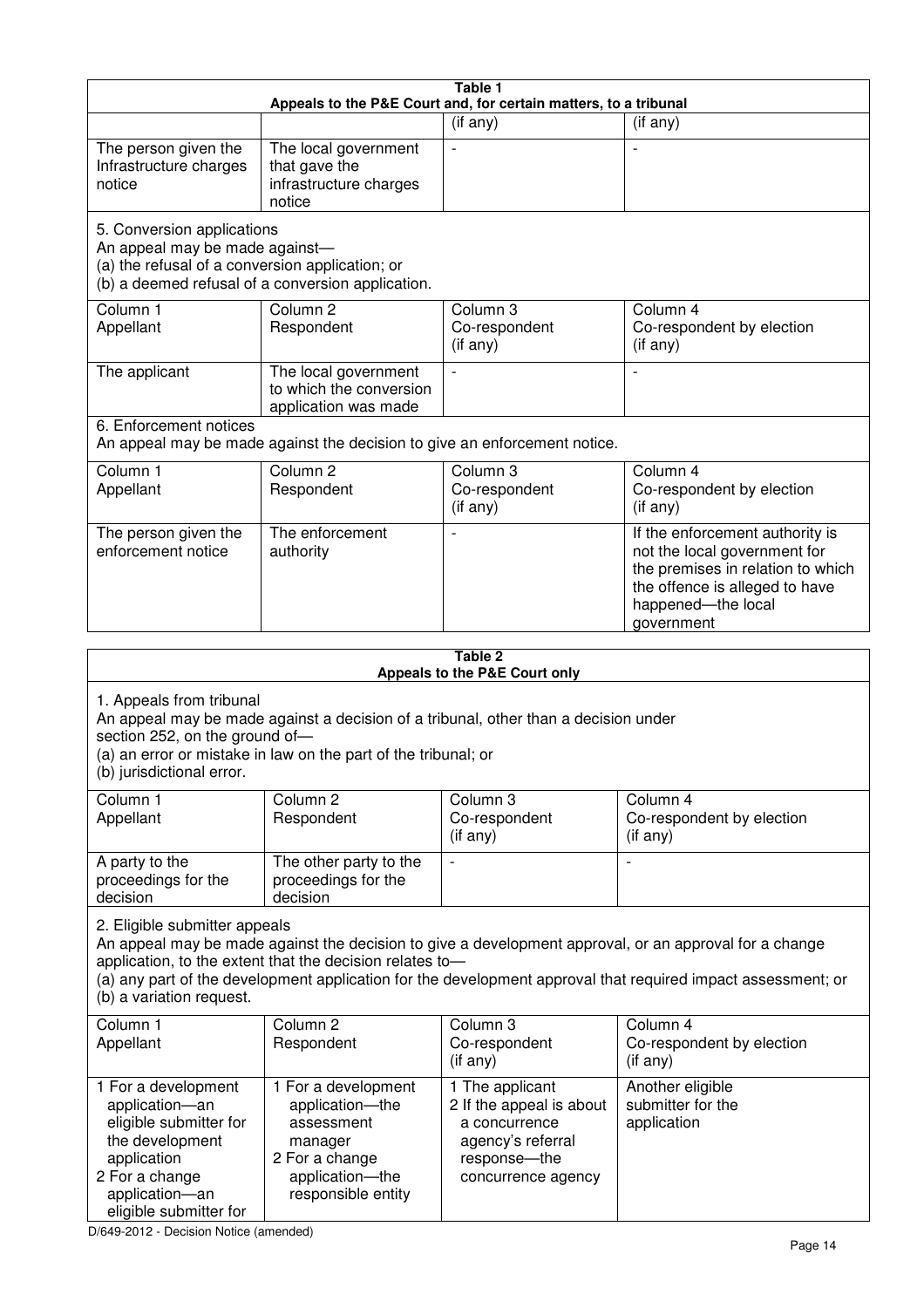| Table 1<br>Appeals to the P&E Court and, for certain matters, to a tribunal                                                                                                                                                                                                                                                                     |                                                                                                                            |                                                                                                                         |                                                                                                                                                                            |  |  |
|-------------------------------------------------------------------------------------------------------------------------------------------------------------------------------------------------------------------------------------------------------------------------------------------------------------------------------------------------|----------------------------------------------------------------------------------------------------------------------------|-------------------------------------------------------------------------------------------------------------------------|----------------------------------------------------------------------------------------------------------------------------------------------------------------------------|--|--|
|                                                                                                                                                                                                                                                                                                                                                 |                                                                                                                            | (if any)                                                                                                                | (if any)                                                                                                                                                                   |  |  |
| The person given the<br>Infrastructure charges<br>notice                                                                                                                                                                                                                                                                                        | The local government<br>that gave the<br>infrastructure charges<br>notice                                                  |                                                                                                                         |                                                                                                                                                                            |  |  |
| 5. Conversion applications<br>An appeal may be made against-<br>(a) the refusal of a conversion application; or                                                                                                                                                                                                                                 | (b) a deemed refusal of a conversion application.                                                                          |                                                                                                                         |                                                                                                                                                                            |  |  |
| Column 1<br>Appellant                                                                                                                                                                                                                                                                                                                           | Column <sub>2</sub><br>Respondent                                                                                          | Column 3<br>Co-respondent<br>(if any)                                                                                   | Column 4<br>Co-respondent by election<br>(if any)                                                                                                                          |  |  |
| The applicant                                                                                                                                                                                                                                                                                                                                   | The local government<br>to which the conversion<br>application was made                                                    |                                                                                                                         |                                                                                                                                                                            |  |  |
| 6. Enforcement notices                                                                                                                                                                                                                                                                                                                          | An appeal may be made against the decision to give an enforcement notice.                                                  |                                                                                                                         |                                                                                                                                                                            |  |  |
| Column 1<br>Appellant                                                                                                                                                                                                                                                                                                                           | Column <sub>2</sub><br>Respondent                                                                                          | Column 3<br>Co-respondent<br>(if any)                                                                                   | Column 4<br>Co-respondent by election<br>(if any)                                                                                                                          |  |  |
| The person given the<br>enforcement notice                                                                                                                                                                                                                                                                                                      | The enforcement<br>authority                                                                                               |                                                                                                                         | If the enforcement authority is<br>not the local government for<br>the premises in relation to which<br>the offence is alleged to have<br>happened-the local<br>government |  |  |
|                                                                                                                                                                                                                                                                                                                                                 |                                                                                                                            | Table 2                                                                                                                 |                                                                                                                                                                            |  |  |
|                                                                                                                                                                                                                                                                                                                                                 |                                                                                                                            | Appeals to the P&E Court only                                                                                           |                                                                                                                                                                            |  |  |
| 1. Appeals from tribunal<br>An appeal may be made against a decision of a tribunal, other than a decision under<br>section 252, on the ground of-<br>(a) an error or mistake in law on the part of the tribunal; or<br>(b) jurisdictional error.                                                                                                |                                                                                                                            |                                                                                                                         |                                                                                                                                                                            |  |  |
| Column 1<br>Appellant                                                                                                                                                                                                                                                                                                                           | Column <sub>2</sub><br>Respondent                                                                                          | Column 3<br>Co-respondent<br>(i f any)                                                                                  | Column 4<br>Co-respondent by election<br>(if any)                                                                                                                          |  |  |
| A party to the<br>proceedings for the<br>decision                                                                                                                                                                                                                                                                                               | The other party to the<br>proceedings for the<br>decision                                                                  |                                                                                                                         |                                                                                                                                                                            |  |  |
| 2. Eligible submitter appeals<br>An appeal may be made against the decision to give a development approval, or an approval for a change<br>application, to the extent that the decision relates to-<br>(a) any part of the development application for the development approval that required impact assessment; or<br>(b) a variation request. |                                                                                                                            |                                                                                                                         |                                                                                                                                                                            |  |  |
| Column 1<br>Appellant                                                                                                                                                                                                                                                                                                                           | Column <sub>2</sub><br>Respondent                                                                                          | Column 3<br>Co-respondent<br>(if any)                                                                                   | Column 4<br>Co-respondent by election<br>(if any)                                                                                                                          |  |  |
| 1 For a development<br>application-an<br>eligible submitter for<br>the development<br>application<br>2 For a change<br>application-an<br>eligible submitter for                                                                                                                                                                                 | 1 For a development<br>application-the<br>assessment<br>manager<br>2 For a change<br>application-the<br>responsible entity | 1 The applicant<br>2 If the appeal is about<br>a concurrence<br>agency's referral<br>response-the<br>concurrence agency | Another eligible<br>submitter for the<br>application                                                                                                                       |  |  |

D/649-2012 - Decision Notice (amended)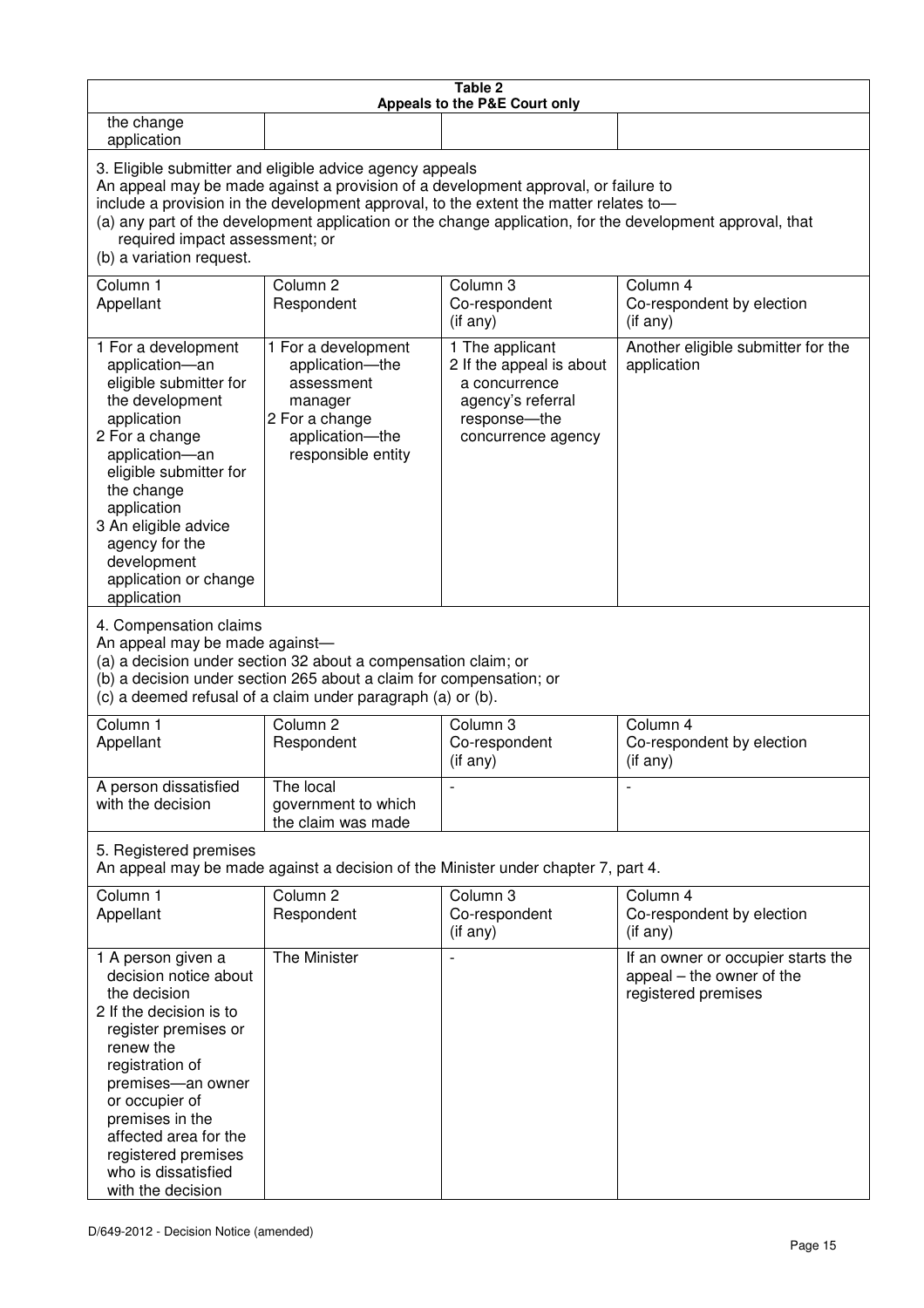| Table 2<br><b>Appeals to the P&amp;E Court only</b>                                                                                                                                                                                                                                                                                                                                                                |                                                                                                                            |                                                                                                                           |                                                                                        |  |
|--------------------------------------------------------------------------------------------------------------------------------------------------------------------------------------------------------------------------------------------------------------------------------------------------------------------------------------------------------------------------------------------------------------------|----------------------------------------------------------------------------------------------------------------------------|---------------------------------------------------------------------------------------------------------------------------|----------------------------------------------------------------------------------------|--|
| the change<br>application                                                                                                                                                                                                                                                                                                                                                                                          |                                                                                                                            |                                                                                                                           |                                                                                        |  |
| 3. Eligible submitter and eligible advice agency appeals<br>An appeal may be made against a provision of a development approval, or failure to<br>include a provision in the development approval, to the extent the matter relates to-<br>(a) any part of the development application or the change application, for the development approval, that<br>required impact assessment; or<br>(b) a variation request. |                                                                                                                            |                                                                                                                           |                                                                                        |  |
| Column 1<br>Appellant                                                                                                                                                                                                                                                                                                                                                                                              | Column <sub>2</sub><br>Respondent                                                                                          | Column 3<br>Co-respondent<br>(if any)                                                                                     | Column 4<br>Co-respondent by election<br>(if any)                                      |  |
| 1 For a development<br>application-an<br>eligible submitter for<br>the development<br>application<br>2 For a change<br>application-an<br>eligible submitter for<br>the change<br>application<br>3 An eligible advice<br>agency for the<br>development<br>application or change<br>application                                                                                                                      | 1 For a development<br>application-the<br>assessment<br>manager<br>2 For a change<br>application-the<br>responsible entity | 1 The applicant<br>2 If the appeal is about<br>a concurrence<br>agency's referral<br>response---the<br>concurrence agency | Another eligible submitter for the<br>application                                      |  |
| 4. Compensation claims<br>An appeal may be made against-<br>(a) a decision under section 32 about a compensation claim; or<br>(b) a decision under section 265 about a claim for compensation; or<br>(c) a deemed refusal of a claim under paragraph (a) or (b).                                                                                                                                                   |                                                                                                                            |                                                                                                                           |                                                                                        |  |
| Column <sub>1</sub><br>Appellant                                                                                                                                                                                                                                                                                                                                                                                   | Column <sub>2</sub><br>Respondent                                                                                          | Column 3<br>Co-respondent<br>(if any)                                                                                     | Column 4<br>Co-respondent by election<br>(if any)                                      |  |
| A person dissatisfied<br>with the decision                                                                                                                                                                                                                                                                                                                                                                         | The local<br>government to which<br>the claim was made                                                                     | $\overline{\phantom{a}}$                                                                                                  |                                                                                        |  |
| 5. Registered premises<br>An appeal may be made against a decision of the Minister under chapter 7, part 4.                                                                                                                                                                                                                                                                                                        |                                                                                                                            |                                                                                                                           |                                                                                        |  |
| Column 1<br>Appellant                                                                                                                                                                                                                                                                                                                                                                                              | Column <sub>2</sub><br>Respondent                                                                                          | Column 3<br>Co-respondent<br>(if any)                                                                                     | Column 4<br>Co-respondent by election<br>(if any)                                      |  |
| 1 A person given a<br>decision notice about<br>the decision<br>2 If the decision is to<br>register premises or<br>renew the<br>registration of<br>premises-an owner<br>or occupier of<br>premises in the<br>affected area for the<br>registered premises<br>who is dissatisfied<br>with the decision                                                                                                               | The Minister                                                                                                               |                                                                                                                           | If an owner or occupier starts the<br>appeal – the owner of the<br>registered premises |  |